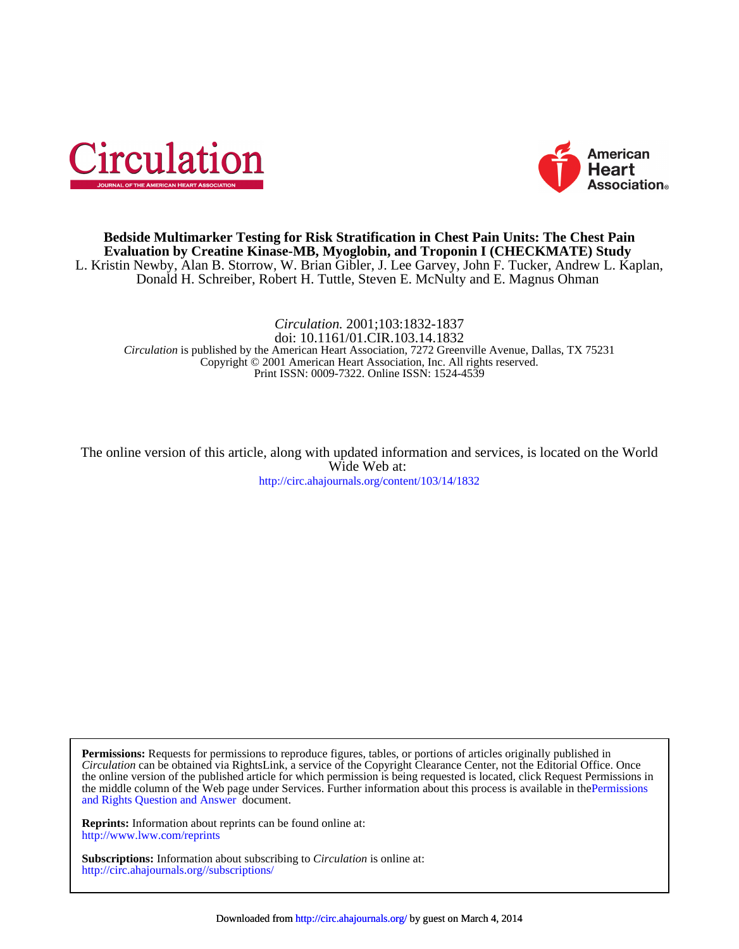



## Donald H. Schreiber, Robert H. Tuttle, Steven E. McNulty and E. Magnus Ohman L. Kristin Newby, Alan B. Storrow, W. Brian Gibler, J. Lee Garvey, John F. Tucker, Andrew L. Kaplan, **Evaluation by Creatine Kinase-MB, Myoglobin, and Troponin I (CHECKMATE) Study Bedside Multimarker Testing for Risk Stratification in Chest Pain Units: The Chest Pain**

## Print ISSN: 0009-7322. Online ISSN: 1524-4539 Copyright © 2001 American Heart Association, Inc. All rights reserved. *Circulation* is published by the American Heart Association, 7272 Greenville Avenue, Dallas, TX 75231 doi: 10.1161/01.CIR.103.14.1832 *Circulation.* 2001;103:1832-1837

<http://circ.ahajournals.org/content/103/14/1832> Wide Web at: The online version of this article, along with updated information and services, is located on the World

[and Rights Question and Answer d](http://www.ahajournals.org/site/rights/)ocument. the middle column of the Web page under Services. Further information about this process is available in th[ePermissions](http://www.ahajournals.org/site/rights/) the online version of the published article for which permission is being requested is located, click Request Permissions in *Circulation* can be obtained via RightsLink, a service of the Copyright Clearance Center, not the Editorial Office. Once **Permissions:** Requests for permissions to reproduce figures, tables, or portions of articles originally published in

<http://www.lww.com/reprints> **Reprints:** Information about reprints can be found online at:

<http://circ.ahajournals.org//subscriptions/> **Subscriptions:** Information about subscribing to *Circulation* is online at: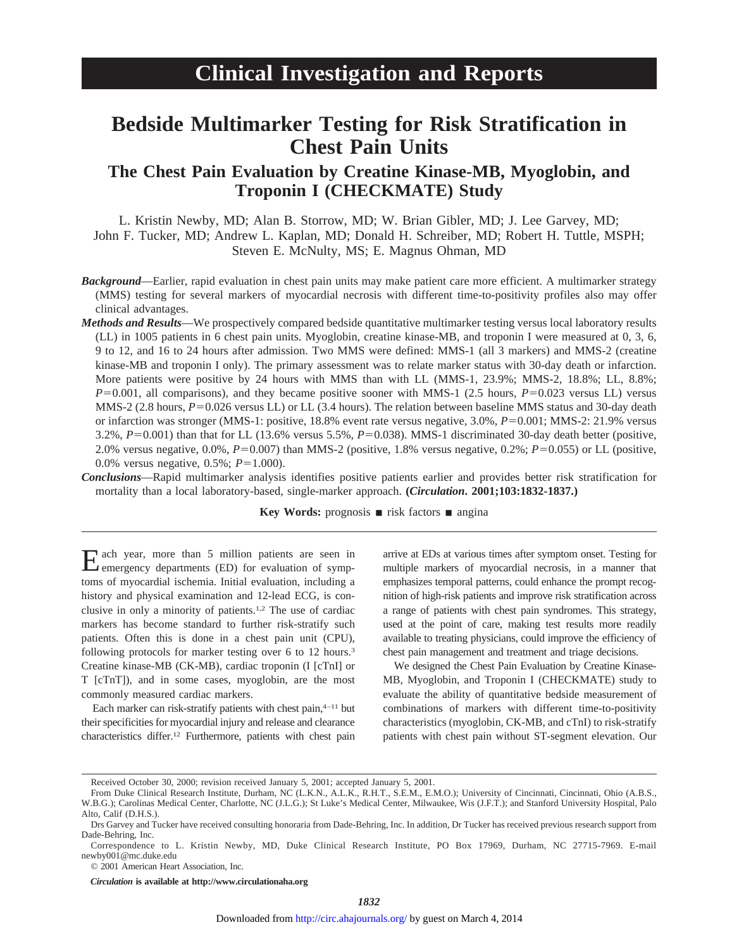# **Bedside Multimarker Testing for Risk Stratification in Chest Pain Units**

**The Chest Pain Evaluation by Creatine Kinase-MB, Myoglobin, and Troponin I (CHECKMATE) Study**

L. Kristin Newby, MD; Alan B. Storrow, MD; W. Brian Gibler, MD; J. Lee Garvey, MD; John F. Tucker, MD; Andrew L. Kaplan, MD; Donald H. Schreiber, MD; Robert H. Tuttle, MSPH; Steven E. McNulty, MS; E. Magnus Ohman, MD

- *Background*—Earlier, rapid evaluation in chest pain units may make patient care more efficient. A multimarker strategy (MMS) testing for several markers of myocardial necrosis with different time-to-positivity profiles also may offer clinical advantages.
- *Methods and Results*—We prospectively compared bedside quantitative multimarker testing versus local laboratory results (LL) in 1005 patients in 6 chest pain units. Myoglobin, creatine kinase-MB, and troponin I were measured at 0, 3, 6, 9 to 12, and 16 to 24 hours after admission. Two MMS were defined: MMS-1 (all 3 markers) and MMS-2 (creatine kinase-MB and troponin I only). The primary assessment was to relate marker status with 30-day death or infarction. More patients were positive by 24 hours with MMS than with LL (MMS-1, 23.9%; MMS-2, 18.8%; LL, 8.8%;  $P=0.001$ , all comparisons), and they became positive sooner with MMS-1 (2.5 hours,  $P=0.023$  versus LL) versus MMS-2 (2.8 hours,  $P=0.026$  versus LL) or LL (3.4 hours). The relation between baseline MMS status and 30-day death or infarction was stronger (MMS-1: positive, 18.8% event rate versus negative, 3.0%,  $P=0.001$ ; MMS-2: 21.9% versus 3.2%,  $P=0.001$ ) than that for LL (13.6% versus 5.5%,  $P=0.038$ ). MMS-1 discriminated 30-day death better (positive, 2.0% versus negative,  $0.0\%$ ,  $P=0.007$ ) than MMS-2 (positive, 1.8% versus negative, 0.2%;  $P=0.055$ ) or LL (positive, 0.0% versus negative,  $0.5\%$ ;  $P=1.000$ ).
- *Conclusions*—Rapid multimarker analysis identifies positive patients earlier and provides better risk stratification for mortality than a local laboratory-based, single-marker approach. **(***Circulation***. 2001;103:1832-1837.)**

**Key Words:** prognosis  $\blacksquare$  risk factors  $\blacksquare$  angina

Each year, more than 5 million patients are seen in emergency departments (ED) for evaluation of symptoms of myocardial ischemia. Initial evaluation, including a history and physical examination and 12-lead ECG, is conclusive in only a minority of patients.1,2 The use of cardiac markers has become standard to further risk-stratify such patients. Often this is done in a chest pain unit (CPU), following protocols for marker testing over 6 to 12 hours.<sup>3</sup> Creatine kinase-MB (CK-MB), cardiac troponin (I [cTnI] or T [cTnT]), and in some cases, myoglobin, are the most commonly measured cardiac markers.

Each marker can risk-stratify patients with chest pain, $4-11$  but their specificities for myocardial injury and release and clearance characteristics differ.12 Furthermore, patients with chest pain

arrive at EDs at various times after symptom onset. Testing for multiple markers of myocardial necrosis, in a manner that emphasizes temporal patterns, could enhance the prompt recognition of high-risk patients and improve risk stratification across a range of patients with chest pain syndromes. This strategy, used at the point of care, making test results more readily available to treating physicians, could improve the efficiency of chest pain management and treatment and triage decisions.

We designed the Chest Pain Evaluation by Creatine Kinase-MB, Myoglobin, and Troponin I (CHECKMATE) study to evaluate the ability of quantitative bedside measurement of combinations of markers with different time-to-positivity characteristics (myoglobin, CK-MB, and cTnI) to risk-stratify patients with chest pain without ST-segment elevation. Our

#### *Circulation* **is available at http://www.circulationaha.org**

Received October 30, 2000; revision received January 5, 2001; accepted January 5, 2001.

From Duke Clinical Research Institute, Durham, NC (L.K.N., A.L.K., R.H.T., S.E.M., E.M.O.); University of Cincinnati, Cincinnati, Ohio (A.B.S., W.B.G.); Carolinas Medical Center, Charlotte, NC (J.L.G.); St Luke's Medical Center, Milwaukee, Wis (J.F.T.); and Stanford University Hospital, Palo Alto, Calif (D.H.S.).

Drs Garvey and Tucker have received consulting honoraria from Dade-Behring, Inc. In addition, Dr Tucker has received previous research support from Dade-Behring, Inc.

Correspondence to L. Kristin Newby, MD, Duke Clinical Research Institute, PO Box 17969, Durham, NC 27715-7969. E-mail newby001@mc.duke.edu

<sup>© 2001</sup> American Heart Association, Inc.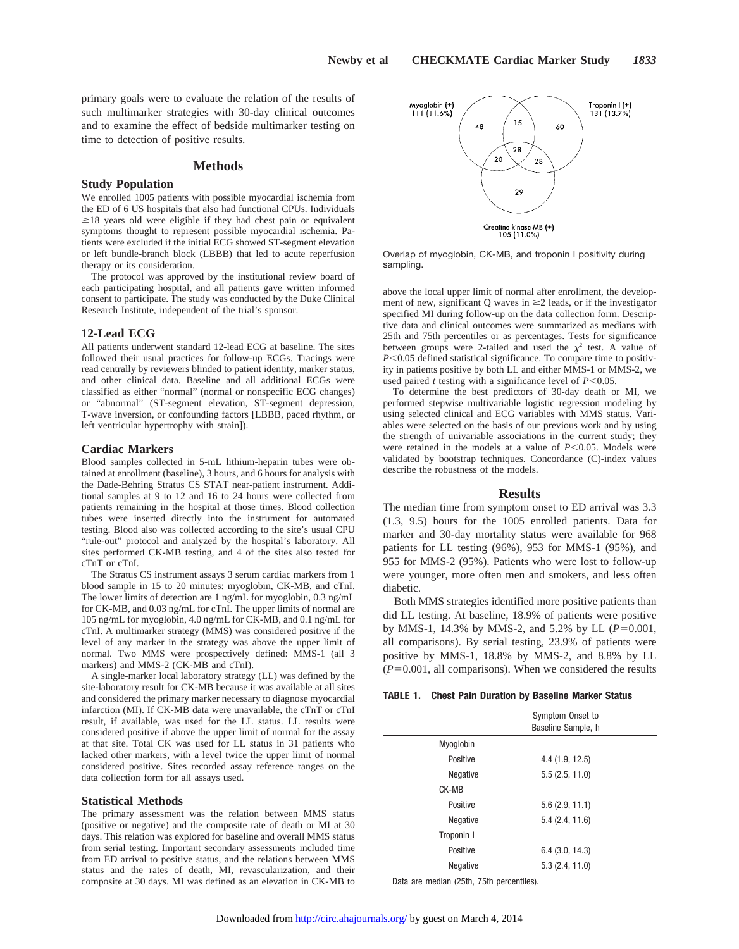primary goals were to evaluate the relation of the results of such multimarker strategies with 30-day clinical outcomes and to examine the effect of bedside multimarker testing on time to detection of positive results.

#### **Methods**

## **Study Population**

We enrolled 1005 patients with possible myocardial ischemia from the ED of 6 US hospitals that also had functional CPUs. Individuals  $\geq$ 18 years old were eligible if they had chest pain or equivalent symptoms thought to represent possible myocardial ischemia. Patients were excluded if the initial ECG showed ST-segment elevation or left bundle-branch block (LBBB) that led to acute reperfusion therapy or its consideration.

The protocol was approved by the institutional review board of each participating hospital, and all patients gave written informed consent to participate. The study was conducted by the Duke Clinical Research Institute, independent of the trial's sponsor.

#### **12-Lead ECG**

All patients underwent standard 12-lead ECG at baseline. The sites followed their usual practices for follow-up ECGs. Tracings were read centrally by reviewers blinded to patient identity, marker status, and other clinical data. Baseline and all additional ECGs were classified as either "normal" (normal or nonspecific ECG changes) or "abnormal" (ST-segment elevation, ST-segment depression, T-wave inversion, or confounding factors [LBBB, paced rhythm, or left ventricular hypertrophy with strain]).

#### **Cardiac Markers**

Blood samples collected in 5-mL lithium-heparin tubes were obtained at enrollment (baseline), 3 hours, and 6 hours for analysis with the Dade-Behring Stratus CS STAT near-patient instrument. Additional samples at 9 to 12 and 16 to 24 hours were collected from patients remaining in the hospital at those times. Blood collection tubes were inserted directly into the instrument for automated testing. Blood also was collected according to the site's usual CPU "rule-out" protocol and analyzed by the hospital's laboratory. All sites performed CK-MB testing, and 4 of the sites also tested for cTnT or cTnI.

The Stratus CS instrument assays 3 serum cardiac markers from 1 blood sample in 15 to 20 minutes: myoglobin, CK-MB, and cTnI. The lower limits of detection are 1 ng/mL for myoglobin, 0.3 ng/mL for CK-MB, and 0.03 ng/mL for cTnI. The upper limits of normal are 105 ng/mL for myoglobin, 4.0 ng/mL for CK-MB, and 0.1 ng/mL for cTnI. A multimarker strategy (MMS) was considered positive if the level of any marker in the strategy was above the upper limit of normal. Two MMS were prospectively defined: MMS-1 (all 3 markers) and MMS-2 (CK-MB and cTnI).

A single-marker local laboratory strategy (LL) was defined by the site-laboratory result for CK-MB because it was available at all sites and considered the primary marker necessary to diagnose myocardial infarction (MI). If CK-MB data were unavailable, the cTnT or cTnI result, if available, was used for the LL status. LL results were considered positive if above the upper limit of normal for the assay at that site. Total CK was used for LL status in 31 patients who lacked other markers, with a level twice the upper limit of normal considered positive. Sites recorded assay reference ranges on the data collection form for all assays used.

### **Statistical Methods**

The primary assessment was the relation between MMS status (positive or negative) and the composite rate of death or MI at 30 days. This relation was explored for baseline and overall MMS status from serial testing. Important secondary assessments included time from ED arrival to positive status, and the relations between MMS status and the rates of death, MI, revascularization, and their composite at 30 days. MI was defined as an elevation in CK-MB to



Overlap of myoglobin, CK-MB, and troponin I positivity during sampling.

above the local upper limit of normal after enrollment, the development of new, significant Q waves in  $\geq 2$  leads, or if the investigator specified MI during follow-up on the data collection form. Descriptive data and clinical outcomes were summarized as medians with 25th and 75th percentiles or as percentages. Tests for significance between groups were 2-tailed and used the  $x^2$  test. A value of  $P$ <0.05 defined statistical significance. To compare time to positivity in patients positive by both LL and either MMS-1 or MMS-2, we used paired *t* testing with a significance level of  $P \le 0.05$ .

To determine the best predictors of 30-day death or MI, we performed stepwise multivariable logistic regression modeling by using selected clinical and ECG variables with MMS status. Variables were selected on the basis of our previous work and by using the strength of univariable associations in the current study; they were retained in the models at a value of *P*<0.05. Models were validated by bootstrap techniques. Concordance (C)-index values describe the robustness of the models.

## **Results**

The median time from symptom onset to ED arrival was 3.3 (1.3, 9.5) hours for the 1005 enrolled patients. Data for marker and 30-day mortality status were available for 968 patients for LL testing (96%), 953 for MMS-1 (95%), and 955 for MMS-2 (95%). Patients who were lost to follow-up were younger, more often men and smokers, and less often diabetic.

Both MMS strategies identified more positive patients than did LL testing. At baseline, 18.9% of patients were positive by MMS-1, 14.3% by MMS-2, and 5.2% by LL  $(P=0.001,$ all comparisons). By serial testing, 23.9% of patients were positive by MMS-1, 18.8% by MMS-2, and 8.8% by LL  $(P=0.001,$  all comparisons). When we considered the results

|  | <b>TABLE 1. Chest Pain Duration by Baseline Marker Status</b> |  |  |  |  |
|--|---------------------------------------------------------------|--|--|--|--|
|--|---------------------------------------------------------------|--|--|--|--|

|                 | Symptom Onset to<br>Baseline Sample, h |  |
|-----------------|----------------------------------------|--|
| Myoglobin       |                                        |  |
| Positive        | 4.4(1.9, 12.5)                         |  |
| Negative        | 5.5(2.5, 11.0)                         |  |
| CK-MB           |                                        |  |
| Positive        | 5.6(2.9, 11.1)                         |  |
| <b>Negative</b> | 5.4(2.4, 11.6)                         |  |
| Troponin I      |                                        |  |
| Positive        | 6.4(3.0, 14.3)                         |  |
| <b>Negative</b> | 5.3(2.4, 11.0)                         |  |

Data are median (25th, 75th percentiles).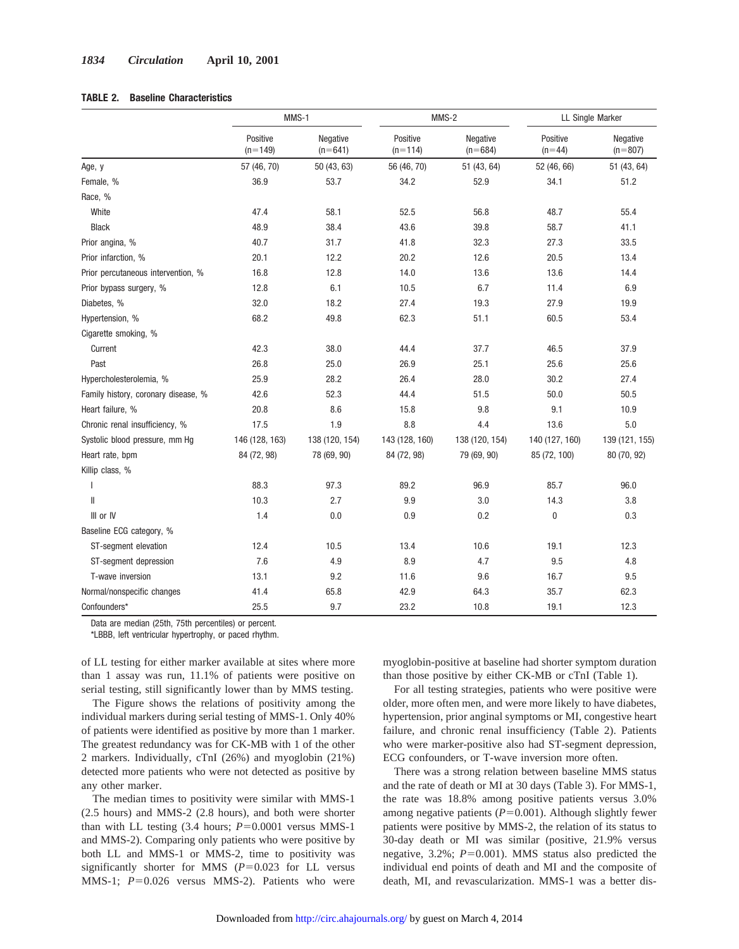## *1834 Circulation* **April 10, 2001**

## **TABLE 2. Baseline Characteristics**

|                                                                                                                                                                                                                                                                                                                                                                                                                                                                         | MMS-1                 |                       |                       | $MMS-2$               | LL Single Marker     |                       |
|-------------------------------------------------------------------------------------------------------------------------------------------------------------------------------------------------------------------------------------------------------------------------------------------------------------------------------------------------------------------------------------------------------------------------------------------------------------------------|-----------------------|-----------------------|-----------------------|-----------------------|----------------------|-----------------------|
|                                                                                                                                                                                                                                                                                                                                                                                                                                                                         | Positive<br>$(n=149)$ | Negative<br>$(n=641)$ | Positive<br>$(n=114)$ | Negative<br>$(n=684)$ | Positive<br>$(n=44)$ | Negative<br>$(n=807)$ |
| Age, y                                                                                                                                                                                                                                                                                                                                                                                                                                                                  | 57 (46, 70)           | 50 (43, 63)           | 56 (46, 70)           | 51 (43, 64)           | 52 (46, 66)          | 51 (43, 64)           |
| Female, %                                                                                                                                                                                                                                                                                                                                                                                                                                                               | 36.9                  | 53.7                  | 34.2                  | 52.9                  | 34.1                 | 51.2                  |
| Race, %                                                                                                                                                                                                                                                                                                                                                                                                                                                                 |                       |                       |                       |                       |                      |                       |
| White                                                                                                                                                                                                                                                                                                                                                                                                                                                                   | 47.4                  | 58.1                  | 52.5                  | 56.8                  | 48.7                 | 55.4                  |
| <b>Black</b>                                                                                                                                                                                                                                                                                                                                                                                                                                                            | 48.9                  | 38.4                  | 43.6                  | 39.8                  | 58.7                 | 41.1                  |
| Prior angina, %                                                                                                                                                                                                                                                                                                                                                                                                                                                         | 40.7                  | 31.7                  | 41.8                  | 32.3                  | 27.3                 | 33.5                  |
| Prior infarction, %                                                                                                                                                                                                                                                                                                                                                                                                                                                     | 20.1                  | 12.2                  | 20.2                  | 12.6                  | 20.5                 | 13.4                  |
| Prior percutaneous intervention, %                                                                                                                                                                                                                                                                                                                                                                                                                                      | 16.8                  | 12.8                  | 14.0                  | 13.6                  | 13.6                 | 14.4                  |
| Prior bypass surgery, %                                                                                                                                                                                                                                                                                                                                                                                                                                                 | 12.8                  | 6.1                   | 10.5                  | 6.7                   | 11.4                 | 6.9                   |
| Diabetes, %                                                                                                                                                                                                                                                                                                                                                                                                                                                             | 32.0                  | 18.2                  | 27.4                  | 19.3                  | 27.9                 | 19.9                  |
| Hypertension, %                                                                                                                                                                                                                                                                                                                                                                                                                                                         | 68.2                  | 49.8                  | 62.3                  | 51.1                  | 60.5                 | 53.4                  |
| Cigarette smoking, %                                                                                                                                                                                                                                                                                                                                                                                                                                                    |                       |                       |                       |                       |                      |                       |
| Current                                                                                                                                                                                                                                                                                                                                                                                                                                                                 | 42.3                  | 38.0                  | 44.4                  | 37.7                  | 46.5                 | 37.9                  |
| Past                                                                                                                                                                                                                                                                                                                                                                                                                                                                    | 26.8                  | 25.0                  | 26.9                  | 25.1                  | 25.6                 | 25.6                  |
| Hypercholesterolemia, %                                                                                                                                                                                                                                                                                                                                                                                                                                                 | 25.9                  | 28.2                  | 26.4                  | 28.0                  | 30.2                 | 27.4                  |
| Family history, coronary disease, %                                                                                                                                                                                                                                                                                                                                                                                                                                     | 42.6                  | 52.3                  | 44.4                  | 51.5                  | 50.0                 | 50.5                  |
| Heart failure, %                                                                                                                                                                                                                                                                                                                                                                                                                                                        | 20.8                  | 8.6                   | 15.8                  | 9.8                   | 9.1                  | 10.9                  |
| Chronic renal insufficiency, %                                                                                                                                                                                                                                                                                                                                                                                                                                          | 17.5                  | 1.9                   | 8.8                   | 4.4                   | 13.6                 | 5.0                   |
| Systolic blood pressure, mm Hg                                                                                                                                                                                                                                                                                                                                                                                                                                          | 146 (128, 163)        | 138 (120, 154)        | 143 (128, 160)        | 138 (120, 154)        | 140 (127, 160)       | 139 (121, 155)        |
| Heart rate, bpm                                                                                                                                                                                                                                                                                                                                                                                                                                                         | 84 (72, 98)           | 78 (69, 90)           | 84 (72, 98)           | 79 (69, 90)           | 85 (72, 100)         | 80 (70, 92)           |
| Killip class, %                                                                                                                                                                                                                                                                                                                                                                                                                                                         |                       |                       |                       |                       |                      |                       |
|                                                                                                                                                                                                                                                                                                                                                                                                                                                                         | 88.3                  | 97.3                  | 89.2                  | 96.9                  | 85.7                 | 96.0                  |
| $\mathop{  }% \text{log}(p_{\theta}^{*})\mathop{  }% \text{log}(p_{\theta}^{*})\mathop{  }% \text{log}(p_{\theta}^{*})\mathop{  }% \text{log}(p_{\theta}^{*})\mathop{  }% \text{log}(p_{\theta}^{*})\mathop{  }% \text{log}(p_{\theta}^{*})\mathop{  }% \text{log}(p_{\theta}^{*})\mathop{  }% \text{log}(p_{\theta}^{*})\mathop{  }% \text{log}(p_{\theta}^{*})\mathop{  }% \text{log}(p_{\theta}^{*})\mathop{  }% \text{log}(p_{\theta}^{*})\mathop{  }% \text{log}($ | 10.3                  | 2.7                   | 9.9                   | 3.0                   | 14.3                 | 3.8                   |
| III or IV                                                                                                                                                                                                                                                                                                                                                                                                                                                               | 1.4                   | 0.0                   | 0.9                   | 0.2                   | $\mathbf{0}$         | 0.3                   |
| Baseline ECG category, %                                                                                                                                                                                                                                                                                                                                                                                                                                                |                       |                       |                       |                       |                      |                       |
| ST-segment elevation                                                                                                                                                                                                                                                                                                                                                                                                                                                    | 12.4                  | 10.5                  | 13.4                  | 10.6                  | 19.1                 | 12.3                  |
| ST-segment depression                                                                                                                                                                                                                                                                                                                                                                                                                                                   | 7.6                   | 4.9                   | 8.9                   | 4.7                   | 9.5                  | 4.8                   |
| T-wave inversion                                                                                                                                                                                                                                                                                                                                                                                                                                                        | 13.1                  | 9.2                   | 11.6                  | 9.6                   | 16.7                 | 9.5                   |
| Normal/nonspecific changes                                                                                                                                                                                                                                                                                                                                                                                                                                              | 41.4                  | 65.8                  | 42.9                  | 64.3                  | 35.7                 | 62.3                  |
| Confounders*                                                                                                                                                                                                                                                                                                                                                                                                                                                            | 25.5                  | 9.7                   | 23.2                  | 10.8                  | 19.1                 | 12.3                  |

Data are median (25th, 75th percentiles) or percent.

\*LBBB, left ventricular hypertrophy, or paced rhythm.

of LL testing for either marker available at sites where more than 1 assay was run, 11.1% of patients were positive on serial testing, still significantly lower than by MMS testing.

The Figure shows the relations of positivity among the individual markers during serial testing of MMS-1. Only 40% of patients were identified as positive by more than 1 marker. The greatest redundancy was for CK-MB with 1 of the other 2 markers. Individually, cTnI (26%) and myoglobin (21%) detected more patients who were not detected as positive by any other marker.

The median times to positivity were similar with MMS-1 (2.5 hours) and MMS-2 (2.8 hours), and both were shorter than with LL testing  $(3.4 \text{ hours}; P=0.0001 \text{ versus MMS-1})$ and MMS-2). Comparing only patients who were positive by both LL and MMS-1 or MMS-2, time to positivity was significantly shorter for MMS  $(P=0.023$  for LL versus MMS-1;  $P=0.026$  versus MMS-2). Patients who were

myoglobin-positive at baseline had shorter symptom duration than those positive by either CK-MB or cTnI (Table 1).

For all testing strategies, patients who were positive were older, more often men, and were more likely to have diabetes, hypertension, prior anginal symptoms or MI, congestive heart failure, and chronic renal insufficiency (Table 2). Patients who were marker-positive also had ST-segment depression, ECG confounders, or T-wave inversion more often.

There was a strong relation between baseline MMS status and the rate of death or MI at 30 days (Table 3). For MMS-1, the rate was 18.8% among positive patients versus 3.0% among negative patients  $(P=0.001)$ . Although slightly fewer patients were positive by MMS-2, the relation of its status to 30-day death or MI was similar (positive, 21.9% versus negative,  $3.2\%$ ;  $P=0.001$ ). MMS status also predicted the individual end points of death and MI and the composite of death, MI, and revascularization. MMS-1 was a better dis-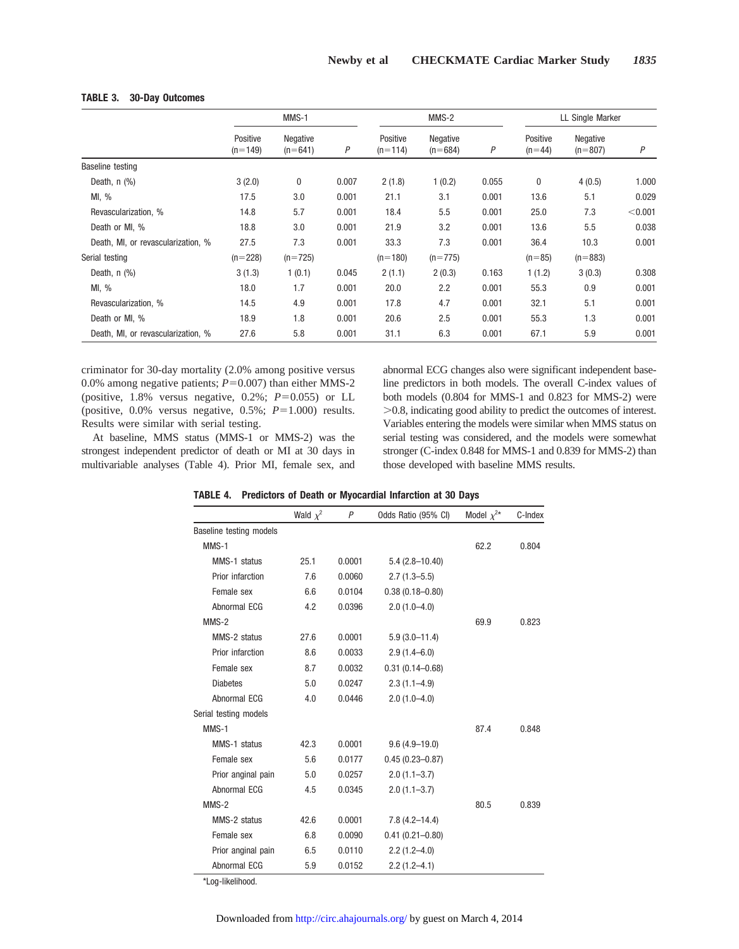|                                    | MMS-1                 |                       |       | MMS-2                 |                              |                | LL Single Marker     |                       |         |
|------------------------------------|-----------------------|-----------------------|-------|-----------------------|------------------------------|----------------|----------------------|-----------------------|---------|
|                                    | Positive<br>$(n=149)$ | Negative<br>$(n=641)$ | P     | Positive<br>$(n=114)$ | <b>Negative</b><br>$(n=684)$ | $\overline{P}$ | Positive<br>$(n=44)$ | Negative<br>$(n=807)$ | P       |
| <b>Baseline testing</b>            |                       |                       |       |                       |                              |                |                      |                       |         |
| Death, $n$ $(\%)$                  | 3(2.0)                | 0                     | 0.007 | 2(1.8)                | 1(0.2)                       | 0.055          | $\mathbf 0$          | 4(0.5)                | 1.000   |
| MI, %                              | 17.5                  | 3.0                   | 0.001 | 21.1                  | 3.1                          | 0.001          | 13.6                 | 5.1                   | 0.029   |
| Revascularization, %               | 14.8                  | 5.7                   | 0.001 | 18.4                  | 5.5                          | 0.001          | 25.0                 | 7.3                   | < 0.001 |
| Death or MI, %                     | 18.8                  | 3.0                   | 0.001 | 21.9                  | 3.2                          | 0.001          | 13.6                 | 5.5                   | 0.038   |
| Death, MI, or revascularization, % | 27.5                  | 7.3                   | 0.001 | 33.3                  | 7.3                          | 0.001          | 36.4                 | 10.3                  | 0.001   |
| Serial testing                     | $(n=228)$             | $(n=725)$             |       | $(n=180)$             | $(n=775)$                    |                | $(n=85)$             | $(n=883)$             |         |
| Death, $n$ $(\%)$                  | 3(1.3)                | 1(0.1)                | 0.045 | 2(1.1)                | 2(0.3)                       | 0.163          | 1(1.2)               | 3(0.3)                | 0.308   |
| MI, %                              | 18.0                  | 1.7                   | 0.001 | 20.0                  | 2.2                          | 0.001          | 55.3                 | 0.9                   | 0.001   |
| Revascularization, %               | 14.5                  | 4.9                   | 0.001 | 17.8                  | 4.7                          | 0.001          | 32.1                 | 5.1                   | 0.001   |
| Death or MI, %                     | 18.9                  | 1.8                   | 0.001 | 20.6                  | 2.5                          | 0.001          | 55.3                 | 1.3                   | 0.001   |
| Death, MI, or revascularization, % | 27.6                  | 5.8                   | 0.001 | 31.1                  | 6.3                          | 0.001          | 67.1                 | 5.9                   | 0.001   |

## **TABLE 3. 30-Day Outcomes**

criminator for 30-day mortality (2.0% among positive versus 0.0% among negative patients;  $P=0.007$ ) than either MMS-2 (positive,  $1.8\%$  versus negative,  $0.2\%$ ;  $P=0.055$ ) or LL (positive,  $0.0\%$  versus negative,  $0.5\%$ ;  $P=1.000$ ) results. Results were similar with serial testing.

At baseline, MMS status (MMS-1 or MMS-2) was the strongest independent predictor of death or MI at 30 days in multivariable analyses (Table 4). Prior MI, female sex, and abnormal ECG changes also were significant independent baseline predictors in both models. The overall C-index values of both models (0.804 for MMS-1 and 0.823 for MMS-2) were .0.8, indicating good ability to predict the outcomes of interest. Variables entering the models were similar when MMS status on serial testing was considered, and the models were somewhat stronger (C-index 0.848 for MMS-1 and 0.839 for MMS-2) than those developed with baseline MMS results.

|                         | Wald $\chi^2$ | P      | Odds Ratio (95% CI) | Model $\chi^{2*}$ | C-Index |
|-------------------------|---------------|--------|---------------------|-------------------|---------|
| Baseline testing models |               |        |                     |                   |         |
| MMS-1                   |               |        |                     | 62.2              | 0.804   |
| MMS-1 status            | 25.1          | 0.0001 | $5.4(2.8 - 10.40)$  |                   |         |
| Prior infarction        | 7.6           | 0.0060 | $2.7(1.3 - 5.5)$    |                   |         |
| Female sex              | 6.6           | 0.0104 | $0.38(0.18 - 0.80)$ |                   |         |
| Abnormal ECG            | 4.2           | 0.0396 | $2.0(1.0-4.0)$      |                   |         |
| $MMS-2$                 |               |        |                     | 69.9              | 0.823   |
| MMS-2 status            | 27.6          | 0.0001 | $5.9(3.0-11.4)$     |                   |         |
| Prior infarction        | 8.6           | 0.0033 | $2.9(1.4 - 6.0)$    |                   |         |
| Female sex              | 8.7           | 0.0032 | $0.31(0.14 - 0.68)$ |                   |         |
| <b>Diabetes</b>         | 5.0           | 0.0247 | $2.3(1.1-4.9)$      |                   |         |
| Abnormal ECG            | 4.0           | 0.0446 | $2.0(1.0-4.0)$      |                   |         |
| Serial testing models   |               |        |                     |                   |         |
| MMS-1                   |               |        |                     | 87.4              | 0.848   |
| MMS-1 status            | 42.3          | 0.0001 | $9.6(4.9 - 19.0)$   |                   |         |
| Female sex              | 5.6           | 0.0177 | $0.45(0.23 - 0.87)$ |                   |         |
| Prior anginal pain      | 5.0           | 0.0257 | $2.0(1.1 - 3.7)$    |                   |         |
| Abnormal ECG            | 4.5           | 0.0345 | $2.0(1.1-3.7)$      |                   |         |
| MMS-2                   |               |        |                     | 80.5              | 0.839   |
| MMS-2 status            | 42.6          | 0.0001 | $7.8(4.2 - 14.4)$   |                   |         |
| Female sex              | 6.8           | 0.0090 | $0.41(0.21 - 0.80)$ |                   |         |
| Prior anginal pain      | 6.5           | 0.0110 | $2.2(1.2 - 4.0)$    |                   |         |
| Abnormal ECG            | 5.9           | 0.0152 | $2.2(1.2 - 4.1)$    |                   |         |

**TABLE 4. Predictors of Death or Myocardial Infarction at 30 Days**

\*Log-likelihood.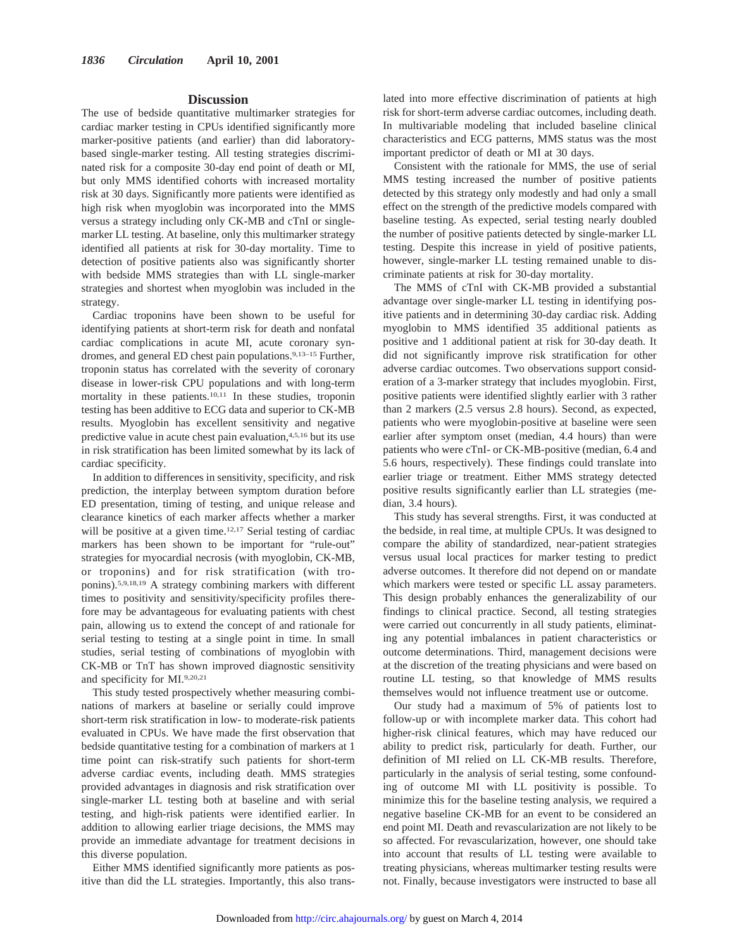## **Discussion**

The use of bedside quantitative multimarker strategies for cardiac marker testing in CPUs identified significantly more marker-positive patients (and earlier) than did laboratorybased single-marker testing. All testing strategies discriminated risk for a composite 30-day end point of death or MI, but only MMS identified cohorts with increased mortality risk at 30 days. Significantly more patients were identified as high risk when myoglobin was incorporated into the MMS versus a strategy including only CK-MB and cTnI or singlemarker LL testing. At baseline, only this multimarker strategy identified all patients at risk for 30-day mortality. Time to detection of positive patients also was significantly shorter with bedside MMS strategies than with LL single-marker strategies and shortest when myoglobin was included in the strategy.

Cardiac troponins have been shown to be useful for identifying patients at short-term risk for death and nonfatal cardiac complications in acute MI, acute coronary syndromes, and general ED chest pain populations.9,13–15 Further, troponin status has correlated with the severity of coronary disease in lower-risk CPU populations and with long-term mortality in these patients.10,11 In these studies, troponin testing has been additive to ECG data and superior to CK-MB results. Myoglobin has excellent sensitivity and negative predictive value in acute chest pain evaluation,4,5,16 but its use in risk stratification has been limited somewhat by its lack of cardiac specificity.

In addition to differences in sensitivity, specificity, and risk prediction, the interplay between symptom duration before ED presentation, timing of testing, and unique release and clearance kinetics of each marker affects whether a marker will be positive at a given time.<sup>12,17</sup> Serial testing of cardiac markers has been shown to be important for "rule-out" strategies for myocardial necrosis (with myoglobin, CK-MB, or troponins) and for risk stratification (with troponins).5,9,18,19 A strategy combining markers with different times to positivity and sensitivity/specificity profiles therefore may be advantageous for evaluating patients with chest pain, allowing us to extend the concept of and rationale for serial testing to testing at a single point in time. In small studies, serial testing of combinations of myoglobin with CK-MB or TnT has shown improved diagnostic sensitivity and specificity for MI.9,20,21

This study tested prospectively whether measuring combinations of markers at baseline or serially could improve short-term risk stratification in low- to moderate-risk patients evaluated in CPUs. We have made the first observation that bedside quantitative testing for a combination of markers at 1 time point can risk-stratify such patients for short-term adverse cardiac events, including death. MMS strategies provided advantages in diagnosis and risk stratification over single-marker LL testing both at baseline and with serial testing, and high-risk patients were identified earlier. In addition to allowing earlier triage decisions, the MMS may provide an immediate advantage for treatment decisions in this diverse population.

Either MMS identified significantly more patients as positive than did the LL strategies. Importantly, this also translated into more effective discrimination of patients at high risk for short-term adverse cardiac outcomes, including death. In multivariable modeling that included baseline clinical characteristics and ECG patterns, MMS status was the most important predictor of death or MI at 30 days.

Consistent with the rationale for MMS, the use of serial MMS testing increased the number of positive patients detected by this strategy only modestly and had only a small effect on the strength of the predictive models compared with baseline testing. As expected, serial testing nearly doubled the number of positive patients detected by single-marker LL testing. Despite this increase in yield of positive patients, however, single-marker LL testing remained unable to discriminate patients at risk for 30-day mortality.

The MMS of cTnI with CK-MB provided a substantial advantage over single-marker LL testing in identifying positive patients and in determining 30-day cardiac risk. Adding myoglobin to MMS identified 35 additional patients as positive and 1 additional patient at risk for 30-day death. It did not significantly improve risk stratification for other adverse cardiac outcomes. Two observations support consideration of a 3-marker strategy that includes myoglobin. First, positive patients were identified slightly earlier with 3 rather than 2 markers (2.5 versus 2.8 hours). Second, as expected, patients who were myoglobin-positive at baseline were seen earlier after symptom onset (median, 4.4 hours) than were patients who were cTnI- or CK-MB-positive (median, 6.4 and 5.6 hours, respectively). These findings could translate into earlier triage or treatment. Either MMS strategy detected positive results significantly earlier than LL strategies (median, 3.4 hours).

This study has several strengths. First, it was conducted at the bedside, in real time, at multiple CPUs. It was designed to compare the ability of standardized, near-patient strategies versus usual local practices for marker testing to predict adverse outcomes. It therefore did not depend on or mandate which markers were tested or specific LL assay parameters. This design probably enhances the generalizability of our findings to clinical practice. Second, all testing strategies were carried out concurrently in all study patients, eliminating any potential imbalances in patient characteristics or outcome determinations. Third, management decisions were at the discretion of the treating physicians and were based on routine LL testing, so that knowledge of MMS results themselves would not influence treatment use or outcome.

Our study had a maximum of 5% of patients lost to follow-up or with incomplete marker data. This cohort had higher-risk clinical features, which may have reduced our ability to predict risk, particularly for death. Further, our definition of MI relied on LL CK-MB results. Therefore, particularly in the analysis of serial testing, some confounding of outcome MI with LL positivity is possible. To minimize this for the baseline testing analysis, we required a negative baseline CK-MB for an event to be considered an end point MI. Death and revascularization are not likely to be so affected. For revascularization, however, one should take into account that results of LL testing were available to treating physicians, whereas multimarker testing results were not. Finally, because investigators were instructed to base all